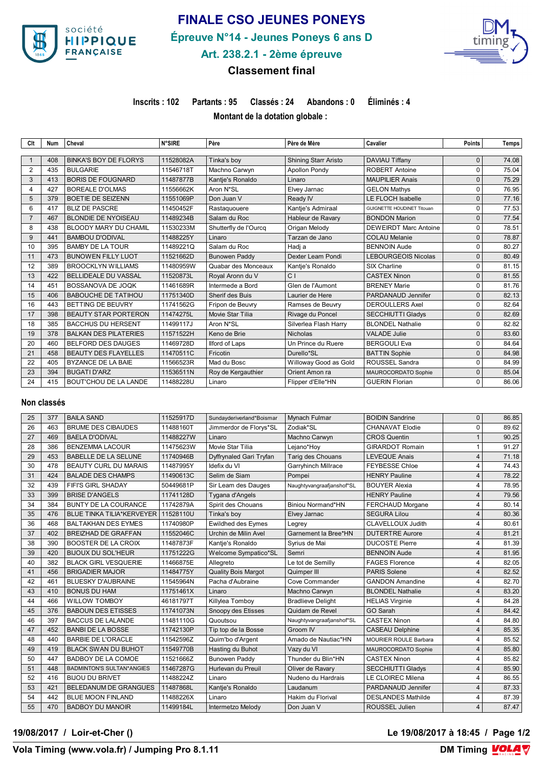

# **FINALE CSO JEUNES PONEYS**

**Épreuve N°14 - Jeunes Poneys 6 ans D**



# **Art. 238.2.1 - 2ème épreuve**

## **Classement final**

**Inscrits : 102 Partants : 95 Classés : 24 Abandons : 0 Éliminés : 4**

**Montant de la dotation globale :** 

| Clt            | Num | Cheval                       | <b>N°SIRE</b> | Père                  | Père de Mère                | Cavalier                          | <b>Points</b> | Temps |
|----------------|-----|------------------------------|---------------|-----------------------|-----------------------------|-----------------------------------|---------------|-------|
|                |     |                              |               |                       |                             |                                   |               |       |
|                | 408 | <b>BINKA'S BOY DE FLORYS</b> | 11528082A     | Tinka's bov           | <b>Shining Starr Aristo</b> | DAVIAU Tiffany                    | 0             | 74.08 |
| 2              | 435 | <b>BULGARIE</b>              | 11546718T     | Machno Carwyn         | <b>Apollon Pondy</b>        | <b>ROBERT Antoine</b>             | 0             | 75.04 |
| 3              | 413 | <b>BORIS DE FOUGNARD</b>     | 11487877B     | Kantie's Ronaldo      | Linaro                      | <b>MAUPILIER Anais</b>            | $\Omega$      | 75.29 |
| 4              | 427 | <b>BOREALE D'OLMAS</b>       | 11556662K     | Aron N*SL             | Elvey Jarnac                | <b>GELON Mathys</b>               | 0             | 76.95 |
| 5              | 379 | BOETIE DE SEIZENN            | 11551069P     | Don Juan V            | Ready IV                    | LE FLOCH Isabelle                 | 0             | 77.16 |
| 6              | 417 | <b>BLIZ DE PASCRE</b>        | 11450452F     | Rastaguouere          | Kantje's Admiraal           | <b>GUIGNETTE HOUDINET Titouan</b> | $\Omega$      | 77.53 |
| $\overline{7}$ | 467 | <b>BLONDIE DE NYOISEAU</b>   | 11489234B     | Salam du Roc          | Hableur de Ravary           | <b>BONDON Marion</b>              | $\Omega$      | 77.54 |
| 8              | 438 | <b>BLOODY MARY DU CHAMIL</b> | 11530233M     | Shutterfly de l'Ourcq | Origan Melody               | <b>DEWEIRDT Marc Antoine</b>      | $\Omega$      | 78.51 |
| 9              | 441 | <b>BAMBOU D'ODIVAL</b>       | 11488225Y     | Linaro                | Tarzan de Jano              | <b>COLAU Melanie</b>              | 0             | 78.87 |
| 10             | 395 | <b>BAMBY DE LA TOUR</b>      | 11489221Q     | Salam du Roc          | Hadj a                      | <b>BENNOIN Aude</b>               | 0             | 80.27 |
| 11             | 473 | <b>BUNOWEN FILLY LUOT</b>    | 11521662D     | <b>Bunowen Paddy</b>  | Dexter Leam Pondi           | <b>LEBOURGEOIS Nicolas</b>        | $\Omega$      | 80.49 |
| 12             | 389 | <b>BROOCKLYN WILLIAMS</b>    | 11480959W     | Quabar des Monceaux   | Kantje's Ronaldo            | SIX Charline                      | 0             | 81.15 |
| 13             | 422 | <b>BELLIDEALE DU VASSAL</b>  | 11520873L     | Royal Aronn du V      | C <sub>1</sub>              | <b>CASTEX Ninon</b>               | $\Omega$      | 81.55 |
| 14             | 451 | BOSSANOVA DE JOOK            | 11461689R     | Intermede a Bord      | Glen de l'Aumont            | <b>BRENEY Marie</b>               | 0             | 81.76 |
| 15             | 406 | <b>BABOUCHE DE TATIHOU</b>   | 11751340D     | Sherif des Buis       | Laurier de Here             | PARDANAUD Jennifer                | 0             | 82.13 |
| 16             | 443 | BETTING DE BEUVRY            | 11741562G     | Fripon de Beuvry      | Ramses de Beuvry            | <b>DEROULLERS Axel</b>            | $\Omega$      | 82.64 |
| 17             | 398 | <b>BEAUTY STAR PORTERON</b>  | 11474275L     | Movie Star Tilia      | Rivage du Poncel            | <b>SECCHIUTTI Gladys</b>          | $\Omega$      | 82.69 |
| 18             | 385 | <b>BACCHUS DU HERSENT</b>    | 11499117J     | Aron N*SL             | Silverlea Flash Harry       | <b>BLONDEL Nathalie</b>           | O             | 82.82 |
| 19             | 378 | <b>BALKAN DES PILATERIES</b> | 11571522H     | Keno de Brie          | Nicholas                    | <b>VALADE Julie</b>               | $\Omega$      | 83.60 |
| 20             | 460 | <b>BELFORD DES DAUGES</b>    | 11469728D     | Ilford of Laps        | Un Prince du Ruere          | <b>BERGOULI Eva</b>               | $\Omega$      | 84.64 |
| 21             | 458 | <b>BEAUTY DES FLAYELLES</b>  | 11470511C     | Fricotin              | Durello*SL                  | <b>BATTIN Sophie</b>              | $\Omega$      | 84.98 |
| 22             | 405 | BYZANCE DE LA BAIE           | 11566523R     | Mad du Bosc           | Willoway Good as Gold       | <b>ROUSSEL Sandra</b>             | 0             | 84.99 |
| 23             | 394 | <b>BUGATI D'ARZ</b>          | 11536511N     | Roy de Kergauthier    | Orient Amon ra              | MAUROCORDATO Sophie               | 0             | 85.04 |
| 24             | 415 | <b>BOUT'CHOU DE LA LANDE</b> | 11488228U     | Linaro                | Flipper d'Elle*HN           | <b>GUERIN Florian</b>             | 0             | 86.06 |
|                |     |                              |               |                       |                             |                                   |               |       |

#### **Non classés**

| 25 | 377 | <b>BAILA SAND</b>                | 11525917D | Sundayderiverland*Boismar  | Mynach Fulmar              | <b>BOIDIN Sandrine</b>       | $\Omega$       | 86.85 |
|----|-----|----------------------------------|-----------|----------------------------|----------------------------|------------------------------|----------------|-------|
| 26 | 463 | <b>BRUME DES CIBAUDES</b>        | 11488160T | Jimmerdor de Florys*SL     | Zodiak*SL                  | <b>CHANAVAT Elodie</b>       | $\Omega$       | 89.62 |
| 27 | 469 | <b>BAELA D'ODIVAL</b>            | 11488227W | Linaro                     | Machno Carwyn              | <b>CROS Quentin</b>          |                | 90.25 |
| 28 | 386 | <b>BENZEMMA LACOUR</b>           | 11475623W | Movie Star Tilia           | Lejano*Hoy                 | <b>GIRARDOT Romain</b>       | 1              | 91.27 |
| 29 | 453 | <b>BABELLE DE LA SELUNE</b>      | 11740946B | Dyffrynaled Gari Tryfan    | Tarig des Chouans          | <b>LEVEQUE Anais</b>         | $\overline{4}$ | 71.18 |
| 30 | 478 | <b>BEAUTY CURL DU MARAIS</b>     | 11487995Y | Idefix du VI               | <b>Garryhinch Millrace</b> | <b>FEYBESSE Chloe</b>        | $\overline{4}$ | 74.43 |
| 31 | 424 | <b>BALADE DES CHAMPS</b>         | 11490613C | Selim de Siam              | Pompei                     | <b>HENRY Pauline</b>         | $\overline{4}$ | 78.22 |
| 32 | 439 | FIFI'S GIRL SHADAY               | 50449681P | Sir Leam des Dauges        | Naughtyvangraafjanshof*SL  | <b>BOUYER Alexia</b>         | 4              | 78.95 |
| 33 | 399 | <b>BRISE D'ANGELS</b>            | 11741128D | Tygana d'Angels            |                            | <b>HENRY Pauline</b>         | $\overline{4}$ | 79.56 |
| 34 | 384 | <b>BUNTY DE LA COURANCE</b>      | 11742879A | Spirit des Chouans         | Biniou Normand*HN          | FERCHAUD Morgane             | $\overline{4}$ | 80.14 |
| 35 | 476 | <b>BLUE TINKA TILIA*KERVEYER</b> | 11528110U | Tinka's boy                | Elvey Jarnac               | <b>SEGURA Lilou</b>          | 4              | 80.36 |
| 36 | 468 | <b>BALTAKHAN DES EYMES</b>       | 11740980P | <b>Ewildhed des Eymes</b>  | Legrey                     | CLAVELLOUX Judith            | $\overline{4}$ | 80.61 |
| 37 | 402 | <b>BREIZHAD DE GRAFFAN</b>       | 11552046C | Urchin de Milin Avel       | Garnement la Bree*HN       | <b>DUTERTRE Aurore</b>       | 4              | 81.21 |
| 38 | 390 | <b>BOOSTER DE LA CROIX</b>       | 11487873F | Kantje's Ronaldo           | Syrius de Mai              | <b>DUCOSTE Pierre</b>        | 4              | 81.39 |
| 39 | 420 | <b>BIJOUX DU SOL'HEUR</b>        | 11751222G | Welcome Sympatico*SL       | Semri                      | <b>BENNOIN Aude</b>          | 4              | 81.95 |
| 40 | 382 | <b>BLACK GIRL VESQUERIE</b>      | 11466875E | Allegreto                  | Le tot de Semilly          | <b>FAGES Florence</b>        | 4              | 82.05 |
| 41 | 456 | <b>BRIGADIER MAJOR</b>           | 11484775Y | <b>Quality Bois Margot</b> | Quimper III                | <b>PARIS Solene</b>          | $\overline{4}$ | 82.52 |
| 42 | 461 | <b>BLUESKY D'AUBRAINE</b>        | 11545964N | Pacha d'Aubraine           | Cove Commander             | <b>GANDON Amandine</b>       | $\overline{4}$ | 82.70 |
| 43 | 410 | <b>BONUS DU HAM</b>              | 11751461X | Linaro                     | Machno Carwyn              | <b>BLONDEL Nathalie</b>      | $\overline{4}$ | 83.20 |
| 44 | 466 | <b>WILLOW TOMBOY</b>             | 46181797T | Killylea Tomboy            | <b>Bradlieve Delight</b>   | <b>HELIAS Virginie</b>       | 4              | 84.28 |
| 45 | 376 | <b>BABOUN DES ETISSES</b>        | 11741073N | Snoopy des Etisses         | Quidam de Revel            | GO Sarah                     | 4              | 84.42 |
| 46 | 397 | <b>BACCUS DE LALANDE</b>         | 11481110G | Quoutsou                   | Naughtyvangraafjanshof*SL  | <b>CASTEX Ninon</b>          | $\overline{4}$ | 84.80 |
| 47 | 452 | <b>BANBI DE LA BOSSE</b>         | 11742130P | Tip top de la Bosse        | Groom IV                   | <b>CASEAU Delphine</b>       | $\overline{4}$ | 85.35 |
| 48 | 440 | <b>BARBIE DE L'ORACLE</b>        | 11542596Z | Quim'bo d'Argent           | Amado de Nautiac*HN        | <b>MOURIER ROULE Barbara</b> | 4              | 85.52 |
| 49 | 419 | <b>BLACK SWAN DU BUHOT</b>       | 11549770B | Hasting du Buhot           | Vazy du VI                 | MAUROCORDATO Sophie          | $\overline{4}$ | 85.80 |
| 50 | 447 | <b>BADBOY DE LA COMOE</b>        | 11521666Z | <b>Bunowen Paddy</b>       | Thunder du Blin*HN         | <b>CASTEX Ninon</b>          | $\Delta$       | 85.82 |
| 51 | 448 | <b>BADMINTON'S SULTAN*ANGIES</b> | 11467287G | Hurlevan du Preuil         | Oliver de Ravary           | <b>SECCHIUTTI Gladys</b>     | $\overline{4}$ | 85.90 |
| 52 | 416 | <b>BIJOU DU BRIVET</b>           | 11488224Z | Linaro                     | Nudeno du Hardrais         | LE CLOIREC Milena            | $\overline{4}$ | 86.55 |
| 53 | 421 | BELEDANUM DE GRANGUES            | 11487868L | Kantje's Ronaldo           | Laudanum                   | PARDANAUD Jennifer           | 4              | 87.33 |
| 54 | 442 | <b>BLUE MOON FINLAND</b>         | 11488226X | Linaro                     | Hakim du Florival          | <b>DESLANDES Mathilde</b>    | 4              | 87.39 |
| 55 | 470 | <b>BADBOY DU MANOIR</b>          | 11499184L | Intermetzo Melody          | Don Juan V                 | <b>ROUSSEL Julien</b>        | $\Delta$       | 87.47 |

#### **19/08/2017 / Loir-et-Cher () Le 19/08/2017 à 18:45 / Page 1/2**

### **Vola Timing (www.vola.fr) / Jumping Pro 8.1.11**